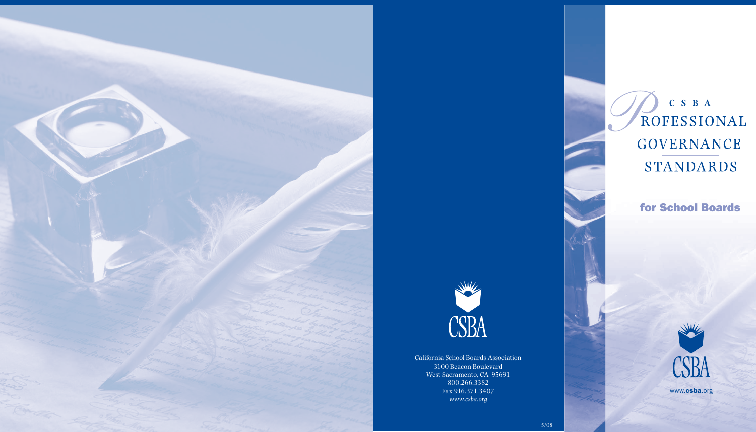



California School Boards Association 3100 Beacon Boulevard West Sacramento, CA 95691 800.266.3382 Fax 916.371.3407 *www.csba.org*

 $C S B A$ ROFESSIONAL GOVERNANCE **STANDARDS** 

for School Boards



www.csba.org